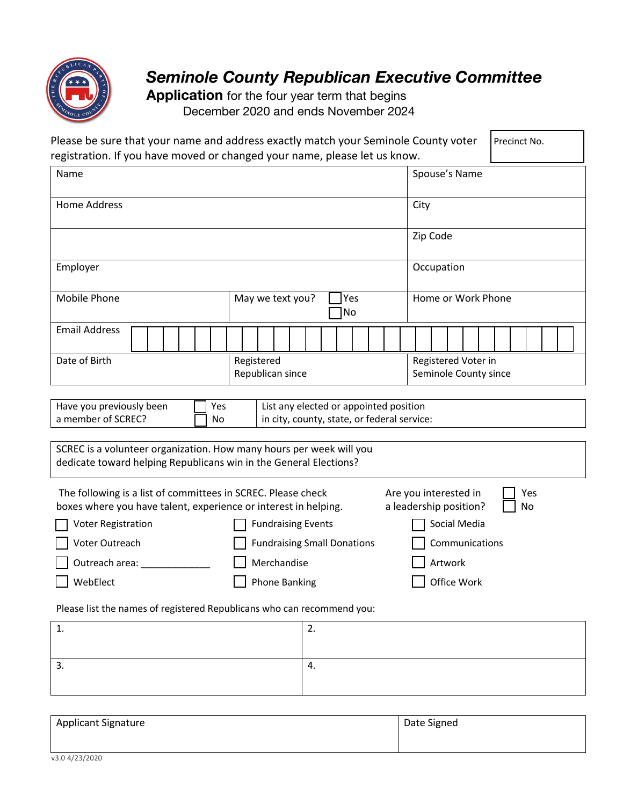

## *Seminole County Republican Executive Committee*

**Application** for the four year term that begins December 2020 and ends November 2024

| Please be sure that your name and address exactly match your Seminole County voter<br>Precinct No.<br>registration. If you have moved or changed your name, please let us know.                 |  |    |  |                                              |                    |               |  |  |  |  |  |  |  |
|-------------------------------------------------------------------------------------------------------------------------------------------------------------------------------------------------|--|----|--|----------------------------------------------|--------------------|---------------|--|--|--|--|--|--|--|
| Name                                                                                                                                                                                            |  |    |  |                                              |                    | Spouse's Name |  |  |  |  |  |  |  |
| <b>Home Address</b>                                                                                                                                                                             |  |    |  |                                              |                    | City          |  |  |  |  |  |  |  |
|                                                                                                                                                                                                 |  |    |  |                                              |                    | Zip Code      |  |  |  |  |  |  |  |
| Employer                                                                                                                                                                                        |  |    |  |                                              |                    | Occupation    |  |  |  |  |  |  |  |
| Mobile Phone<br>Yes<br>May we text you?<br>No                                                                                                                                                   |  |    |  |                                              | Home or Work Phone |               |  |  |  |  |  |  |  |
| <b>Email Address</b>                                                                                                                                                                            |  |    |  |                                              |                    |               |  |  |  |  |  |  |  |
| Date of Birth<br>Registered<br>Republican since                                                                                                                                                 |  |    |  | Registered Voter in<br>Seminole County since |                    |               |  |  |  |  |  |  |  |
| List any elected or appointed position<br>Have you previously been<br>Yes                                                                                                                       |  |    |  |                                              |                    |               |  |  |  |  |  |  |  |
| a member of SCREC?<br>in city, county, state, or federal service:<br>No                                                                                                                         |  |    |  |                                              |                    |               |  |  |  |  |  |  |  |
| SCREC is a volunteer organization. How many hours per week will you<br>dedicate toward helping Republicans win in the General Elections?                                                        |  |    |  |                                              |                    |               |  |  |  |  |  |  |  |
| The following is a list of committees in SCREC. Please check<br>Are you interested in<br>Yes<br>a leadership position?<br>boxes where you have talent, experience or interest in helping.<br>No |  |    |  |                                              |                    |               |  |  |  |  |  |  |  |
| <b>Fundraising Events</b><br><b>Voter Registration</b>                                                                                                                                          |  |    |  |                                              | Social Media       |               |  |  |  |  |  |  |  |
| Voter Outreach<br><b>Fundraising Small Donations</b>                                                                                                                                            |  |    |  |                                              | Communications     |               |  |  |  |  |  |  |  |
| Merchandise<br>Outreach area:                                                                                                                                                                   |  |    |  |                                              | Artwork            |               |  |  |  |  |  |  |  |
| WebElect<br><b>Phone Banking</b>                                                                                                                                                                |  |    |  | Office Work                                  |                    |               |  |  |  |  |  |  |  |
| Please list the names of registered Republicans who can recommend you:                                                                                                                          |  |    |  |                                              |                    |               |  |  |  |  |  |  |  |
| 1.                                                                                                                                                                                              |  | 2. |  |                                              |                    |               |  |  |  |  |  |  |  |
| 3.                                                                                                                                                                                              |  | 4. |  |                                              |                    |               |  |  |  |  |  |  |  |

| <b>Applicant Signature</b> | Date Signed |
|----------------------------|-------------|
|                            |             |
| v3.0 4/23/2020             |             |